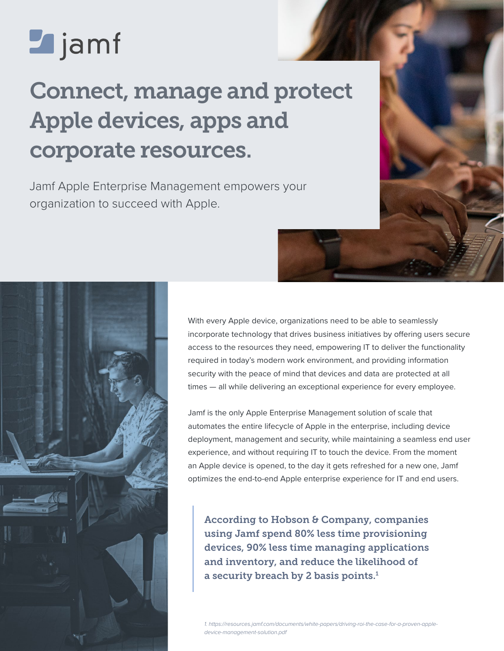# **Z** jamf

## Connect, manage and protect Apple devices, apps and corporate resources.

Jamf Apple Enterprise Management empowers your organization to succeed with Apple.

> With every Apple device, organizations need to be able to seamlessly incorporate technology that drives business initiatives by offering users secure access to the resources they need, empowering IT to deliver the functionality required in today's modern work environment, and providing information security with the peace of mind that devices and data are protected at all times — all while delivering an exceptional experience for every employee.

> Jamf is the only Apple Enterprise Management solution of scale that automates the entire lifecycle of Apple in the enterprise, including device deployment, management and security, while maintaining a seamless end user experience, and without requiring IT to touch the device. From the moment an Apple device is opened, to the day it gets refreshed for a new one, Jamf optimizes the end-to-end Apple enterprise experience for IT and end users.

According to Hobson & Company, companies using Jamf spend 80% less time provisioning devices, 90% less time managing applications and inventory, and reduce the likelihood of a security breach by 2 basis points. $<sup>1</sup>$ </sup>